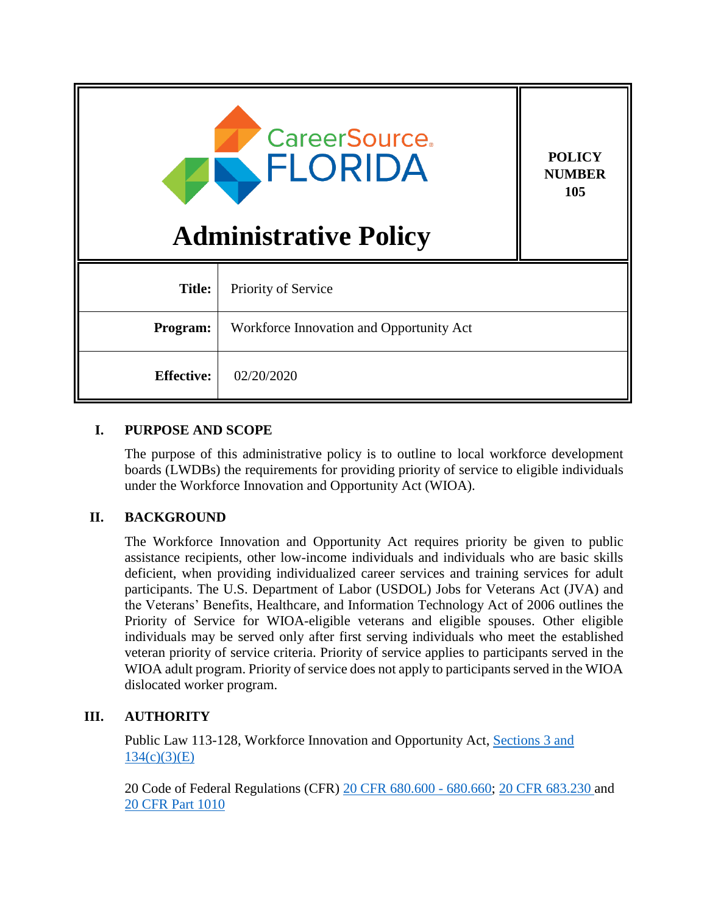| <b>CareerSource.</b><br>FLORIDA<br><b>Administrative Policy</b> |                                          | <b>POLICY</b><br><b>NUMBER</b><br>105 |
|-----------------------------------------------------------------|------------------------------------------|---------------------------------------|
| <b>Title:</b>                                                   | Priority of Service                      |                                       |
| Program:                                                        | Workforce Innovation and Opportunity Act |                                       |
| <b>Effective:</b>                                               | 02/20/2020                               |                                       |

## **I. PURPOSE AND SCOPE**

The purpose of this administrative policy is to outline to local workforce development boards (LWDBs) the requirements for providing priority of service to eligible individuals under the Workforce Innovation and Opportunity Act (WIOA).

# **II. BACKGROUND**

The Workforce Innovation and Opportunity Act requires priority be given to public assistance recipients, other low-income individuals and individuals who are basic skills deficient, when providing individualized career services and training services for adult participants. The U.S. Department of Labor (USDOL) Jobs for Veterans Act (JVA) and the Veterans' Benefits, Healthcare, and Information Technology Act of 2006 outlines the Priority of Service for WIOA-eligible veterans and eligible spouses. Other eligible individuals may be served only after first serving individuals who meet the established veteran priority of service criteria. Priority of service applies to participants served in the WIOA adult program. Priority of service does not apply to participants served in the WIOA dislocated worker program.

# **III. AUTHORITY**

Public Law 113-128, Workforce Innovation and Opportunity Act, [Sections 3 and](https://www.gpo.gov/fdsys/pkg/PLAW-113publ128/pdf/PLAW-113publ128.pdf)   $134(c)(3)(E)$  $134(c)(3)(E)$ 

20 Code of Federal Regulations (CFR) [20 CFR 680.600 -](https://www.govinfo.gov/content/pkg/CFR-2019-title20-vol4/pdf/CFR-2019-title20-vol4-part680.pdf) 680.660; [20 CFR 683.230](https://www.govinfo.gov/content/pkg/CFR-2019-title20-vol4/pdf/CFR-2019-title20-vol4-sec683-230.pdf) and [20 CFR Part 1010](https://www.govinfo.gov/content/pkg/CFR-2019-title20-vol4/pdf/CFR-2019-title20-vol4-part1010.pdf)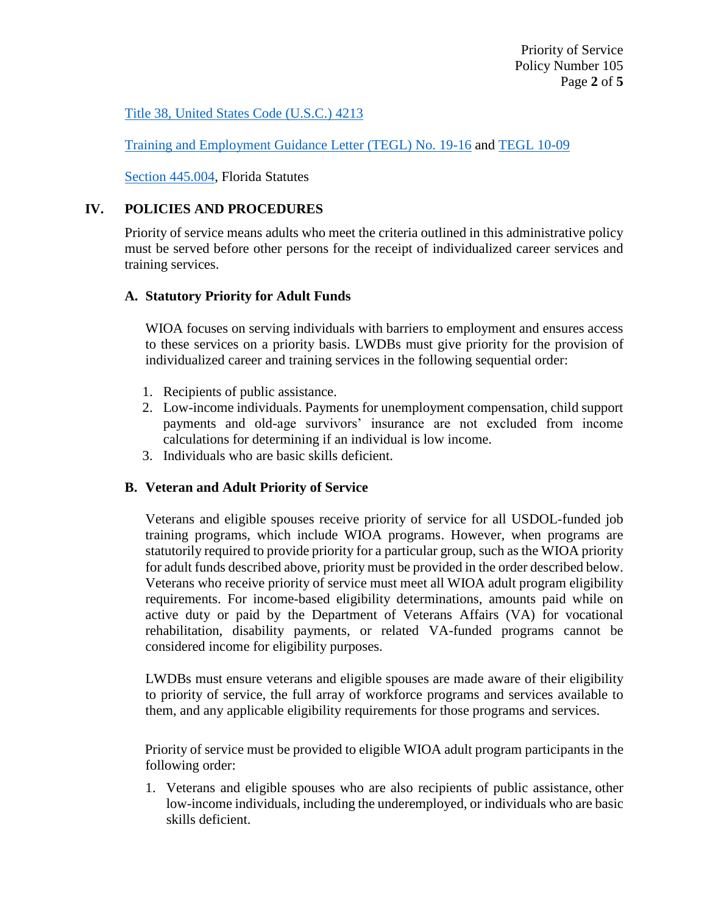## [Title 38, United States Code \(U.S.C.\)](https://www.govinfo.gov/content/pkg/USCODE-2018-title38/pdf/USCODE-2018-title38-partIII-chap42-sec4213.pdf) 4213

[Training and Employment Guidance Letter](https://wdr.doleta.gov/directives/corr_doc.cfm?docn=3851) (TEGL) No. 19-16 and [TEGL 10-09](https://wdr.doleta.gov/directives/corr_doc.cfm?DOCN=2816)

[Section 445.004,](http://www.leg.state.fl.us/statutes/index.cfm?App_mode=Display_Statute&Search_String=&URL=0400-0499/0445/Sections/0445.004.html) Florida Statutes

## **IV. POLICIES AND PROCEDURES**

Priority of service means adults who meet the criteria outlined in this administrative policy must be served before other persons for the receipt of individualized career services and training services.

### **A. Statutory Priority for Adult Funds**

WIOA focuses on serving individuals with barriers to employment and ensures access to these services on a priority basis. LWDBs must give priority for the provision of individualized career and training services in the following sequential order:

- 1. Recipients of public assistance.
- 2. Low-income individuals. Payments for unemployment compensation, child support payments and old-age survivors' insurance are not excluded from income calculations for determining if an individual is low income.
- 3. Individuals who are basic skills deficient.

### **B. Veteran and Adult Priority of Service**

Veterans and eligible spouses receive priority of service for all USDOL-funded job training programs, which include WIOA programs. However, when programs are statutorily required to provide priority for a particular group, such as the WIOA priority for adult funds described above, priority must be provided in the order described below. Veterans who receive priority of service must meet all WIOA adult program eligibility requirements. For income-based eligibility determinations, amounts paid while on active duty or paid by the Department of Veterans Affairs (VA) for vocational rehabilitation, disability payments, or related VA-funded programs cannot be considered income for eligibility purposes.

LWDBs must ensure veterans and eligible spouses are made aware of their eligibility to priority of service, the full array of workforce programs and services available to them, and any applicable eligibility requirements for those programs and services.

Priority of service must be provided to eligible WIOA adult program participants in the following order:

1. Veterans and eligible spouses who are also recipients of public assistance, other low-income individuals, including the underemployed, or individuals who are basic skills deficient.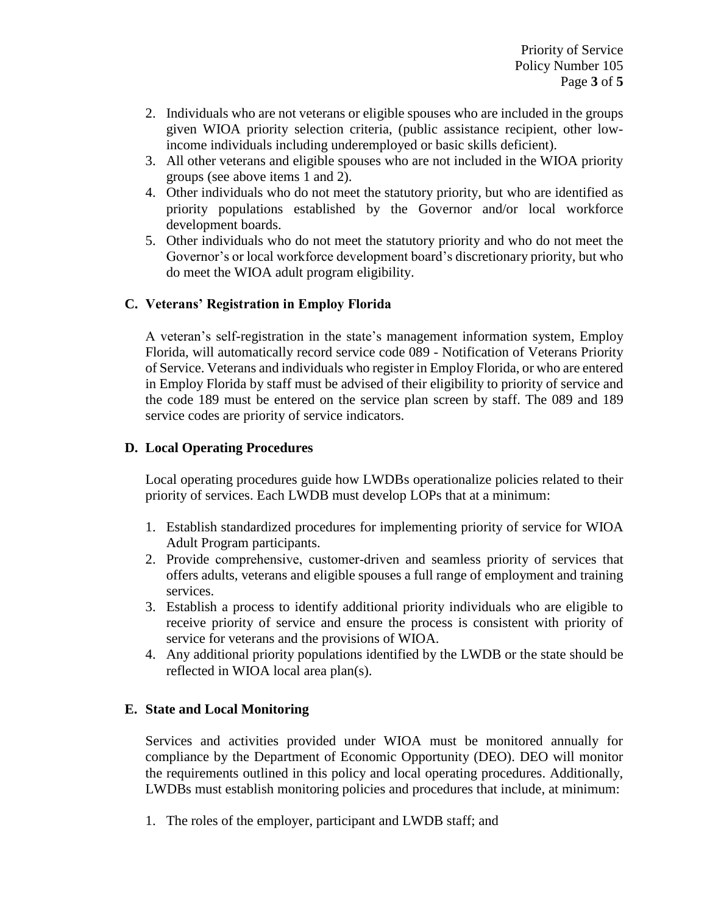- 2. Individuals who are not veterans or eligible spouses who are included in the groups given WIOA priority selection criteria, (public assistance recipient, other lowincome individuals including underemployed or basic skills deficient).
- 3. All other veterans and eligible spouses who are not included in the WIOA priority groups (see above items 1 and 2).
- 4. Other individuals who do not meet the statutory priority, but who are identified as priority populations established by the Governor and/or local workforce development boards.
- 5. Other individuals who do not meet the statutory priority and who do not meet the Governor's or local workforce development board's discretionary priority, but who do meet the WIOA adult program eligibility.

## **C. Veterans' Registration in Employ Florida**

A veteran's self-registration in the state's management information system, Employ Florida, will automatically record service code 089 - Notification of Veterans Priority of Service. Veterans and individuals who register in Employ Florida, or who are entered in Employ Florida by staff must be advised of their eligibility to priority of service and the code 189 must be entered on the service plan screen by staff. The 089 and 189 service codes are priority of service indicators.

### **D. Local Operating Procedures**

Local operating procedures guide how LWDBs operationalize policies related to their priority of services. Each LWDB must develop LOPs that at a minimum:

- 1. Establish standardized procedures for implementing priority of service for WIOA Adult Program participants.
- 2. Provide comprehensive, customer‐driven and seamless priority of services that offers adults, veterans and eligible spouses a full range of employment and training services.
- 3. Establish a process to identify additional priority individuals who are eligible to receive priority of service and ensure the process is consistent with priority of service for veterans and the provisions of WIOA.
- 4. Any additional priority populations identified by the LWDB or the state should be reflected in WIOA local area plan(s).

### **E. State and Local Monitoring**

Services and activities provided under WIOA must be monitored annually for compliance by the Department of Economic Opportunity (DEO). DEO will monitor the requirements outlined in this policy and local operating procedures. Additionally, LWDBs must establish monitoring policies and procedures that include, at minimum:

1. The roles of the employer, participant and LWDB staff; and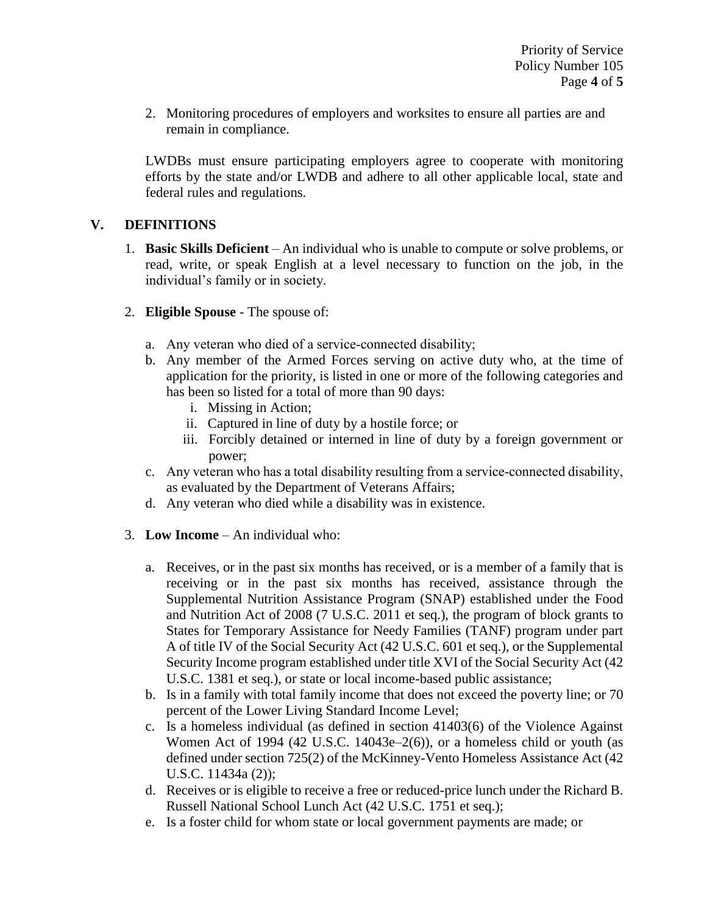2. Monitoring procedures of employers and worksites to ensure all parties are and remain in compliance.

LWDBs must ensure participating employers agree to cooperate with monitoring efforts by the state and/or LWDB and adhere to all other applicable local, state and federal rules and regulations.

## **V. DEFINITIONS**

- 1. **Basic Skills Deficient** An individual who is unable to compute or solve problems, or read, write, or speak English at a level necessary to function on the job, in the individual's family or in society.
- 2. **Eligible Spouse** The spouse of:
	- a. Any veteran who died of a service-connected disability;
	- b. Any member of the Armed Forces serving on active duty who, at the time of application for the priority, is listed in one or more of the following categories and has been so listed for a total of more than 90 days:
		- i. Missing in Action;
		- ii. Captured in line of duty by a hostile force; or
		- iii. Forcibly detained or interned in line of duty by a foreign government or power;
	- c. Any veteran who has a total disability resulting from a service‐connected disability, as evaluated by the Department of Veterans Affairs;
	- d. Any veteran who died while a disability was in existence.
- 3. **Low Income** An individual who:
	- a. Receives, or in the past six months has received, or is a member of a family that is receiving or in the past six months has received, assistance through the Supplemental Nutrition Assistance Program (SNAP) established under the Food and Nutrition Act of 2008 (7 U.S.C. 2011 et seq.), the program of block grants to States for Temporary Assistance for Needy Families (TANF) program under part A of title IV of the Social Security Act (42 U.S.C. 601 et seq.), or the Supplemental Security Income program established under title XVI of the Social Security Act (42 U.S.C. 1381 et seq.), or state or local income-based public assistance;
	- b. Is in a family with total family income that does not exceed the poverty line; or 70 percent of the Lower Living Standard Income Level;
	- c. Is a homeless individual (as defined in section 41403(6) of the Violence Against Women Act of 1994 (42 U.S.C. 14043e–2(6)), or a homeless child or youth (as defined under section 725(2) of the McKinney-Vento Homeless Assistance Act (42 U.S.C. 11434a (2));
	- d. Receives or is eligible to receive a free or reduced-price lunch under the Richard B. Russell National School Lunch Act (42 U.S.C. 1751 et seq.);
	- e. Is a foster child for whom state or local government payments are made; or